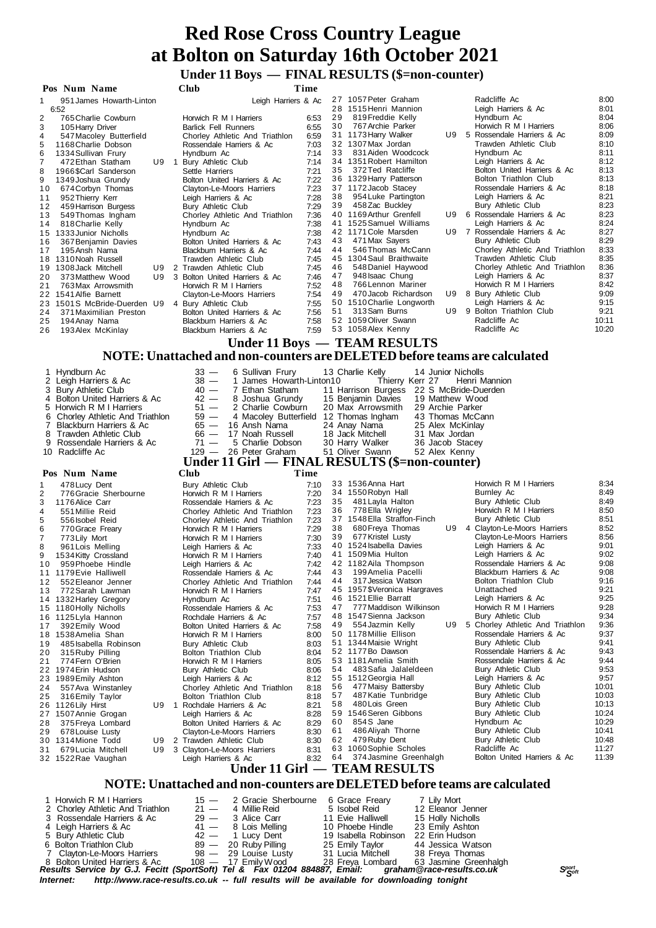#### **Under 11 Boys — FINAL RESULTS (\$=non-counter)**

|                                                                     |    | енист 11 роза                                            |                                                                  |              |          | $\sqrt{2}$ where $\sqrt{2}$ and $\sqrt{2}$                                |                                                           |                |
|---------------------------------------------------------------------|----|----------------------------------------------------------|------------------------------------------------------------------|--------------|----------|---------------------------------------------------------------------------|-----------------------------------------------------------|----------------|
| Pos Num Name                                                        |    | <b>Club</b>                                              |                                                                  | Time         |          |                                                                           |                                                           |                |
| 951 James Howarth-Linton<br>1<br>6:52                               |    |                                                          | Leigh Harriers & Ac                                              |              |          | 27 1057 Peter Graham<br>28 1515 Henri Mannion                             | Radcliffe Ac<br>Leigh Harriers & Ac                       | 8:00<br>8:01   |
| 2<br>765 Charlie Cowburn                                            |    | Horwich R M I Harriers                                   |                                                                  | 6:53         | 29       | 819 Freddie Kelly                                                         | Hyndburn Ac                                               | 8:04           |
| 3<br>105 Harry Driver                                               |    | <b>Barlick Fell Runners</b>                              |                                                                  | 6:55         | 30       | 767 Archie Parker                                                         | Horwich R M I Harriers                                    | 8:06           |
| 4<br>547 Macoley Butterfield<br>1168 Charlie Dobson<br>5            |    | Rossendale Harriers & Ac                                 | Chorley Athletic And Triathlon                                   | 6:59<br>7:03 |          | 31 1173 Harry Walker<br>32 1307 Max Jordan                                | U9 5 Rossendale Harriers & Ac<br>Trawden Athletic Club    | 8:09<br>8:10   |
| 6<br>1334 Sullivan Frury                                            |    | Hyndburn Ac                                              |                                                                  | 7:14         | 33       | 831 Aiden Woodcock                                                        | Hyndburn Ac                                               | 8:11           |
| 7<br>472 Ethan Statham                                              |    | U9 1 Bury Athletic Club                                  |                                                                  | 7:14         |          | 34 1351 Robert Hamilton                                                   | Leigh Harriers & Ac                                       | 8:12           |
| 1966 \$Carl Sanderson<br>8                                          |    | Settle Harriers                                          |                                                                  | 7:21         | 35       | 372 Ted Ratcliffe<br>36 1329 Harry Patterson                              | Bolton United Harriers & Ac<br>Bolton Triathlon Club      | 8:13<br>8:13   |
| 9<br>1349 Joshua Grundy<br>10<br>674 Corbyn Thomas                  |    | Bolton United Harriers & Ac<br>Clayton-Le-Moors Harriers |                                                                  | 7:22<br>7:23 |          | 37 1172 Jacob Stacey                                                      | Rossendale Harriers & Ac                                  | 8:18           |
| 952 Thierry Kerr<br>11                                              |    | Leigh Harriers & Ac                                      |                                                                  | 7:28         | 38       | 954 Luke Partington                                                       | Leigh Harriers & Ac                                       | 8:21           |
| 12<br>459 Harrison Burgess                                          |    | Bury Athletic Club                                       |                                                                  | 7:29         | 39       | 458 Zac Buckley<br>40 1169 Arthur Grenfell                                | Bury Athletic Club<br>U9 6 Rossendale Harriers & Ac       | 8:23<br>8:23   |
| 13<br>549 Thomas Ingham<br>14<br>818 Charlie Kelly                  |    | Hyndburn Ac                                              | Chorley Athletic And Triathlon                                   | 7:36<br>7:38 |          | 41 1525 Samuel Williams                                                   | Leigh Harriers & Ac                                       | 8:24           |
| 15 1333 Junior Nicholls                                             |    | Hyndburn Ac                                              |                                                                  | 7:38         |          | 42 1171 Cole Marsden                                                      | U9 7 Rossendale Harriers & Ac                             | 8:27           |
| 16<br>367 Benjamin Davies                                           |    | Bolton United Harriers & Ac                              |                                                                  | 7:43         | 44       | 43 471 Max Sayers                                                         | Bury Athletic Club                                        | 8:29           |
| 195 Ansh Nama<br>17<br>18 1310 Noah Russell                         |    | Blackburn Harriers & Ac<br>Trawden Athletic Club         |                                                                  | 7:44<br>7:45 |          | 546 Thomas McCann<br>45 1304 Saul Braithwaite                             | Chorley Athletic And Triathlon<br>Trawden Athletic Club   | 8:33<br>8:35   |
| 1308 Jack Mitchell<br>19                                            |    | U9 2 Trawden Athletic Club                               |                                                                  | 7:45         | 46       | 548 Daniel Haywood                                                        | Chorley Athletic And Triathlon                            | 8:36           |
| 20<br>373 Matthew Wood                                              |    | U9 3 Bolton United Harriers & Ac                         |                                                                  | 7:46         | 47       | 948 Isaac Chung                                                           | Leigh Harriers & Ac                                       | 8:37           |
| 21<br>763 Max Arrowsmith<br>22 1541 Alfie Barnett                   |    | Horwich R M I Harriers<br>Clayton-Le-Moors Harriers      |                                                                  | 7:52<br>7:54 | 48<br>49 | 766 Lennon Mariner<br>470 Jacob Richardson                                | Horwich R M I Harriers<br>U9 8 Bury Athletic Club         | 8:42<br>9:09   |
| 23 1501S McBride-Duerden U9 4 Bury Athletic Club                    |    |                                                          |                                                                  | 7:55         |          | 50 1510 Charlie Longworth                                                 | Leigh Harriers & Ac                                       | 9:15           |
| 24<br>371 Maximilian Preston                                        |    | Bolton United Harriers & Ac                              |                                                                  | 7:56         | 51       | 313 Sam Burns                                                             | U9 9 Bolton Triathlon Club                                | 9:21           |
| 25<br>194 Anay Nama<br>26<br>193 Alex McKinlay                      |    | Blackburn Harriers & Ac<br>Blackburn Harriers & Ac       |                                                                  | 7:58<br>7:59 |          | 52 1059 Oliver Swann<br>53 1058 Alex Kenny                                | Radcliffe Ac<br>Radcliffe Ac                              | 10:11<br>10:20 |
|                                                                     |    |                                                          |                                                                  |              |          | Under 11 Boys — TEAM RESULTS                                              |                                                           |                |
|                                                                     |    |                                                          |                                                                  |              |          | NOTE: Unattached and non-counters are DELETED before teams are calculated |                                                           |                |
|                                                                     |    |                                                          |                                                                  |              |          |                                                                           |                                                           |                |
| 1 Hyndburn Ac                                                       |    | $33 -$                                                   | 6 Sullivan Frury                                                 |              |          | 13 Charlie Kelly<br>14 Junior Nicholls                                    |                                                           |                |
| 2 Leigh Harriers & Ac<br>3 Bury Athletic Club                       |    | $38 -$<br>$40 -$                                         | 1 James Howarth-Linton10<br>7 Ethan Statham                      |              |          | Thierry Kerr 27<br>11 Harrison Burgess 22 S McBride-Duerden               | Henri Mannion                                             |                |
| 4 Bolton United Harriers & Ac                                       |    | $42 -$                                                   | 8 Joshua Grundy                                                  |              |          | 15 Benjamin Davies<br>19 Matthew Wood                                     |                                                           |                |
| 5 Horwich R M I Harriers                                            |    | $51 -$                                                   | 2 Charlie Cowburn                                                |              |          | 20 Max Arrowsmith<br>29 Archie Parker                                     |                                                           |                |
| 6<br>Chorley Athletic And Triathlon<br>7<br>Blackburn Harriers & Ac |    | $59 -$                                                   | 4 Macoley Butterfield 12 Thomas Ingham                           |              |          | 43 Thomas McCann                                                          |                                                           |                |
|                                                                     |    |                                                          |                                                                  |              |          |                                                                           |                                                           |                |
| Trawden Athletic Club<br>8                                          |    | $65 -$<br>$66 -$                                         | 16 Ansh Nama<br>17 Noah Russell                                  |              |          | 24 Anay Nama<br>25 Alex McKinlay<br>18 Jack Mitchell<br>31 Max Jordan     |                                                           |                |
| Rossendale Harriers & Ac<br>9                                       |    | $71 -$                                                   | 5 Charlie Dobson                                                 |              |          | 30 Harry Walker<br>36 Jacob Stacey                                        |                                                           |                |
| 10 Radcliffe Ac                                                     |    |                                                          | 129 - 26 Peter Graham                                            |              |          | 51 Oliver Swann<br>52 Alex Kenny                                          |                                                           |                |
| Pos Num Name                                                        |    | Club                                                     |                                                                  | Time         |          | Under 11 Girl — FINAL RESULTS (\$=non-counter)                            |                                                           |                |
| 1<br>478 Lucy Dent                                                  |    | Bury Athletic Club                                       |                                                                  | 7:10         |          | 33 1536 Anna Hart                                                         | Horwich R M I Harriers                                    | 8:34           |
| $\overline{2}$<br>776 Gracie Sherbourne                             |    | Horwich R M I Harriers                                   |                                                                  | 7:20         |          | 34 1550 Robyn Hall                                                        | Burnley Ac                                                | 8:49           |
| 3<br>1176 Alice Carr                                                |    | Rossendale Harriers & Ac                                 |                                                                  | 7:23         | 35       | 481 Layla Halton                                                          | Bury Athletic Club                                        | 8:49           |
| 4<br>551 Millie Reid<br>5<br>556 Isobel Reid                        |    |                                                          | Chorley Athletic And Triathlon<br>Chorley Athletic And Triathlon | 7:23<br>7:23 | 36       | 778 Ella Wrigley<br>37 1548 Ella Straffon-Finch                           | Horwich R M I Harriers<br>Bury Athletic Club              | 8:50<br>8:51   |
| 6<br>770 Grace Freary                                               |    | Horwich R M I Harriers                                   |                                                                  | 7:29         | 38       | 680 Freya Thomas                                                          | U9 4 Clayton-Le-Moors Harriers                            | 8:52           |
| 7<br>773 Lily Mort                                                  |    | Horwich R M I Harriers                                   |                                                                  | 7:30         | 39       | 677 Kristel Lusty                                                         | Clayton-Le-Moors Harriers                                 | 8:56           |
| 8<br>961 Lois Melling<br>9                                          |    | Leigh Harriers & Ac<br>Horwich R M I Harriers            |                                                                  | 7:33<br>7:40 |          | 40 1524 Isabella Davies<br>41 1509 Mia Hulton                             | Leigh Harriers & Ac<br>Leigh Harriers & Ac                | 9:01<br>9:02   |
| 1534 Kitty Crossland<br>959 Phoebe Hindle<br>10                     |    | Leigh Harriers & Ac                                      |                                                                  | 7:42         |          | 42 1182 Aila Thompson                                                     | Rossendale Harriers & Ac                                  | 9:08           |
| 11<br>1179 Evie Halliwell                                           |    | Rossendale Harriers & Ac                                 |                                                                  | 7:44         | 43       | 199 Amelia Pacelli                                                        | Blackburn Harriers & Ac                                   | 9:08           |
| 552 Eleanor Jenner<br>12<br>772 Sarah Lawman<br>13                  |    |                                                          | Chorley Athletic And Triathlon                                   | 7:44<br>7:47 | 44       | 317 Jessica Watson<br>45 1957 \$Veronica Hargraves                        | Bolton Triathlon Club<br>Unattached                       | 9:16<br>9:21   |
| 14 1332 Harley Gregory                                              |    | Horwich R M I Harriers<br>Hyndburn Ac                    |                                                                  | 7:51         |          | 46 1521 Ellie Barratt                                                     | Leigh Harriers & Ac                                       | 9:25           |
| 15 1180 Holly Nicholls                                              |    | Rossendale Harriers & Ac                                 |                                                                  | 7:53         | 47       | 777 Maddison Wilkinson                                                    | Horwich R M I Harriers                                    | 9:28           |
| 16 1125 Lyla Hannon                                                 |    | Rochdale Harriers & Ac                                   |                                                                  | 7:57         | 48<br>49 | 1547 Sienna Jackson<br>554 Jazmin Kelly                                   | Bury Athletic Club<br>U9 5 Chorley Athletic And Triathlon | 9:34<br>9:36   |
| 392 Emily Wood<br>17<br>18 1538 Amelia Shan                         |    | Bolton United Harriers & Ac<br>Horwich R M I Harriers    |                                                                  | 7:58<br>8:00 |          | 50 1178 Millie Ellison                                                    | Rossendale Harriers & Ac                                  | 9:37           |
| 485 Isabella Robinson<br>19                                         |    | Bury Athletic Club                                       |                                                                  | 8:03         |          | 51 1344 Maisie Wright                                                     | Bury Athletic Club                                        | 9:41           |
| 20<br>315 Ruby Pilling                                              |    | Bolton Triathlon Club                                    |                                                                  | 8:04         |          | 52 1177Bo Dawson<br>53 1181 Amelia Smith                                  | Rossendale Harriers & Ac<br>Rossendale Harriers & Ac      | 9:43<br>9:44   |
| 774 Fern O'Brien<br>21<br>22 1974 Erin Hudson                       |    | Horwich R M I Harriers<br><b>Bury Athletic Club</b>      |                                                                  | 8:05<br>8:06 | 54       | 483 Safia Jalaleldeen                                                     | Bury Athletic Club                                        | 9:53           |
| 23<br>1989 Emily Ashton                                             |    | Leigh Harriers & Ac                                      |                                                                  | 8:12         |          | 55 1512 Georgia Hall                                                      | Leigh Harriers & Ac                                       | 9:57           |
| 557 Ava Winstanley<br>24                                            |    |                                                          | Chorley Athletic And Triathlon                                   | 8:18         | 56<br>57 | 477 Maisy Battersby                                                       | <b>Bury Athletic Club</b>                                 | 10:01<br>10:03 |
| 316 Emily Taylor<br>25<br>26 1126 Lily Hirst                        |    | Bolton Triathlon Club<br>U9 1 Rochdale Harriers & Ac     |                                                                  | 8:18<br>8:21 | 58       | 487 Katie Tunbridge<br>480 Lois Green                                     | Bury Athletic Club<br>Bury Athletic Club                  | 10:13          |
| 27 1507 Annie Grogan                                                |    | Leigh Harriers & Ac                                      |                                                                  | 8:28         |          | 59 1546 Seren Gibbons                                                     | <b>Bury Athletic Club</b>                                 | 10:24          |
| 375 Freya Lombard<br>28                                             |    | Bolton United Harriers & Ac                              |                                                                  | 8:29         | 60<br>61 | 854S Jane<br>486 Aliyah Thorne                                            | Hyndburn Ac<br><b>Bury Athletic Club</b>                  | 10:29<br>10:41 |
| 29<br>678 Louise Lusty<br>30 1314 Mione Todd                        |    | Clayton-Le-Moors Harriers<br>U9 2 Trawden Athletic Club  |                                                                  | 8:30<br>8:30 | 62       | 479 Ruby Dent                                                             | Bury Athletic Club                                        | 10:48          |
| 679 Lucia Mitchell<br>31                                            | U9 | 3 Clayton-Le-Moors Harriers                              |                                                                  | 8:31         |          | 63 1060 Sophie Scholes                                                    | Radcliffe Ac                                              | 11:27          |
| 32 1522 Rae Vaughan                                                 |    | Leigh Harriers & Ac                                      |                                                                  | 8:32         | 64       | 374 Jasmine Greenhalgh                                                    | Bolton United Harriers & Ac                               | 11:39          |
|                                                                     |    |                                                          |                                                                  |              |          | Under 11 Girl — TEAM RESULTS                                              |                                                           |                |
|                                                                     |    |                                                          |                                                                  |              |          | NOTE: Unattached and non-counters are DELETED before teams are calculated |                                                           |                |
| 1 Horwich R M I Harriers<br>2 Chorley Athletic And Triathlon        |    | $15 -$<br>$21 -$                                         | 2 Gracie Sherbourne<br>4 Millie Reid                             |              |          | 6 Grace Freary<br>7 Lily Mort<br>5 Isobel Reid<br>12 Eleanor Jenner       |                                                           |                |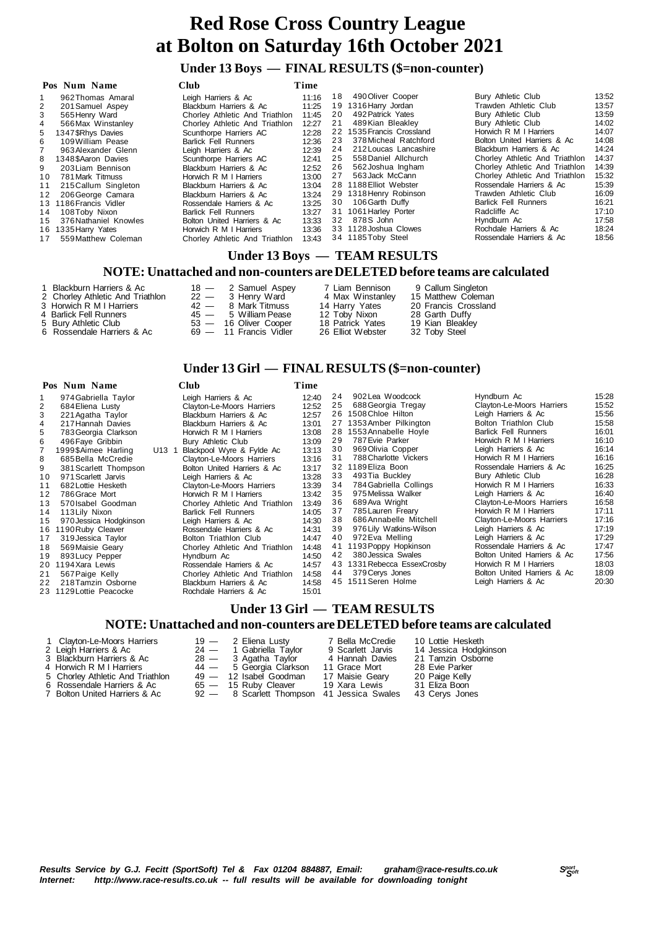#### **Under 13 Boys — FINAL RESULTS (\$=non-counter)**

|     | Pos Num Name          | <b>Club</b>                                         | Time  |    |                         |                                |       |
|-----|-----------------------|-----------------------------------------------------|-------|----|-------------------------|--------------------------------|-------|
|     | 962 Thomas Amaral     | Leigh Harriers & Ac                                 | 11:16 |    | 18 490 Oliver Cooper    | Bury Athletic Club             | 13:52 |
| 2   | 201 Samuel Aspey      | Blackburn Harriers & Ac                             | 11:25 | 19 | 1316 Harry Jordan       | Trawden Athletic Club          | 13:57 |
|     | 565 Henry Ward        | Chorley Athletic And Triathlon                      | 11:45 | 20 | 492 Patrick Yates       | Bury Athletic Club             | 13:59 |
|     | 566 Max Winstanley    | Chorley Athletic And Triathlon                      | 12:27 | 21 | 489 Kian Bleakley       | Bury Athletic Club             | 14:02 |
| 5.  | 1347 SRhys Davies     | Scunthorpe Harriers AC                              | 12:28 | 22 | 1535 Francis Crossland  | Horwich R M I Harriers         | 14:07 |
| 6   | 109 William Pease     | <b>Barlick Fell Runners</b>                         | 12:36 | 23 | 378 Micheal Ratchford   | Bolton United Harriers & Ac    | 14:08 |
|     | 963 Alexander Glenn   | Leigh Harriers & Ac                                 | 12:39 | 24 | 212 Loucas Lancashire   | Blackburn Harriers & Ac        | 14:24 |
| 8   | 1348 \$ Aaron Davies  | Scunthorpe Harriers AC                              | 12:41 | 25 | 558 Daniel Allchurch    | Chorley Athletic And Triathlon | 14:37 |
| 9   | 203 Liam Bennison     | Blackburn Harriers & Ac                             | 12:52 | 26 | 562 Joshua Ingham       | Chorley Athletic And Triathlon | 14:39 |
| 10  | 781 Mark Titmuss      | Horwich R M I Harriers                              | 13:00 | 27 | 563 Jack McCann         | Chorley Athletic And Triathlon | 15:32 |
| 11  | 215 Callum Singleton  | Blackburn Harriers & Ac                             | 13:04 |    | 28 1188 Elliot Webster  | Rossendale Harriers & Ac       | 15:39 |
| 12  | 206 George Camara     | Blackburn Harriers & Ac                             | 13:24 |    | 29 1318 Henry Robinson  | Trawden Athletic Club          | 16:09 |
| 13  | 1186 Francis Vidler   | Rossendale Harriers & Ac                            | 13:25 | 30 | 106 Garth Duffy         | <b>Barlick Fell Runners</b>    | 16:21 |
| 14  | 108 Toby Nixon        | <b>Barlick Fell Runners</b>                         | 13:27 |    | 31 1061 Harley Porter   | Radcliffe Ac                   | 17:10 |
| 1.5 | 376 Nathaniel Knowles | Bolton United Harriers & Ac                         | 13:33 |    | 32 878S John            | Hyndburn Ac                    | 17:58 |
| 16  | 1335 Harry Yates      | Horwich R M I Harriers                              | 13:36 |    | 33 1128 Joshua Clowes   | Rochdale Harriers & Ac         | 18:24 |
| 17  | 559 Matthew Coleman   | Chorley Athletic And Triathlon                      | 13:43 |    | 34 1185 Toby Steel      | Rossendale Harriers & Ac       | 18:56 |
|     |                       | $\mathbf{r}$ $\mathbf{r}$ $\mathbf{r}$ $\mathbf{r}$ |       |    | <b>THE LAT DECIT HO</b> |                                |       |

#### **Under 13 Boys — TEAM RESULTS**

 **Under 13 Girl — FINAL RESULTS (\$=non-counter)**

#### **NOTE: Unattached and non-counters are DELETED before teams are calculated**

- 1 Blackburn Harriers & Ac 18 2 Samuel Aspey 7 Liam Bennison 9 Callum Singleton<br>2 Chorley Athletic And Triathlon 22 3 Henry Ward 4 Max Winstanley 15 Matthew Coleman
- 2 Chorley Athletic And Triathlon 22 3 Henry Ward 4 Max Winstanley 15 Matthew Coleman 3 Horwich R M I Harriers 42 8 Mark Titmuss 14 Harry Yates 20 Francis Crossland 3 Horwich R M I Harriers 42 - 8 Mark Titmuss 14 Harry Yates 20 Francis Cross 45 - 8 Milliam Pease 12 Toby Nixon 28 Garth Duffy
- 
- 
- 5 Bury Athletic Club 53 16 Oliver Cooper 18 Patrick Yates 19 Kian Bleak<br>6 Rossendale Harriers & Ac 69 11 Francis Vidler 26 Elliot Webster 32 Toby Steel **Rossendale Harriers & Ac**

## 42 - 8 Mark Titmuss<br>
42 - 8 Mark Titmuss<br>
45 - 5 William Pease 12 Toby Nixon 28 Garth Duffy<br>
5 Bury Athletic Club 53 - 16 Oliver Cooper 18 Patrick Yates 19 Kian Bleakley<br>
6 Rossendale Harriers & Ac 69 - 11 Francis Vidler 2

| Pos Num Name | Club | Time |
|--------------|------|------|

| 1<br>2         | 974 Gabriella Taylor<br>684 Eliena Lusty |       | Leigh Harriers & Ac<br>Clayton-Le-Moors Harriers | 12:40<br>12:52 | 24<br>25 | 90<br>68 |
|----------------|------------------------------------------|-------|--------------------------------------------------|----------------|----------|----------|
| 3              | 221 Agatha Taylor                        |       | Blackburn Harriers & Ac                          | 12:57          | 26       | 150      |
| 4              | 217 Hannah Davies                        |       | Blackburn Harriers & Ac                          | 13:01          | 27       | 135      |
| 5              | 783 Georgia Clarkson                     |       | Horwich R M I Harriers                           | 13:08          | 28       | 155      |
|                |                                          |       |                                                  |                | 29       | 78       |
| 6              | 496 Faye Gribbin                         |       | Bury Athletic Club                               | 13:09          | 30       | 96       |
| $\overline{7}$ | 1999\$Aimee Harling                      | U13 1 | Blackpool Wyre & Fylde Ac                        | 13:13          |          |          |
| 8              | 685 Bella McCredie                       |       | Clayton-Le-Moors Harriers                        | 13:16          | 31       | 78       |
| 9              | 381 Scarlett Thompson                    |       | Bolton United Harriers & Ac                      | 13:17          | 32       | 118      |
| 10             | 971 Scarlett Jarvis                      |       | Leigh Harriers & Ac                              | 13:28          | 33       | 49       |
| 11             | 682 Lottie Hesketh                       |       | Clayton-Le-Moors Harriers                        | 13:39          | 34       | 78       |
| 12             | 786 Grace Mort                           |       | Horwich R M I Harriers                           | 13:42          | 35       | 97       |
| 13             | 570 Isabel Goodman                       |       | Chorley Athletic And Triathlon                   | 13:49          | 36       | 68       |
| 14             | 113 Lily Nixon                           |       | <b>Barlick Fell Runners</b>                      | 14:05          | 37       | 78       |
| 15             | 970 Jessica Hodgkinson                   |       | Leigh Harriers & Ac                              | 14:30          | 38       | 68       |
| 16             | 1190 Ruby Cleaver                        |       | Rossendale Harriers & Ac                         | 14:31          | 39       | 97       |
| 17             | 319 Jessica Taylor                       |       | Bolton Triathlon Club                            | 14:47          | 40       | 97       |
| 18             | 569 Maisie Geary                         |       | Chorley Athletic And Triathlon                   | 14:48          | 41       | 119      |
| 19             | 893 Lucy Pepper                          |       | Hyndburn Ac                                      | 14:50          | 42       | 38       |
| 20             | 1194 Xara Lewis                          |       | Rossendale Harriers & Ac                         | 14:57          | 43       | 133      |
| 21             | 567 Paige Kelly                          |       | Chorley Athletic And Triathlon                   | 14:58          | 44       | 37       |
| 22             | 218 Tamzin Osborne                       |       | Blackburn Harriers & Ac                          | 14:58          | 45       | 151      |
|                | 23 1129 Lottie Peacocke                  |       | Rochdale Harriers & Ac                           | 15:01          |          |          |

 **Under 13 Girl — TEAM RESULTS**

#### **NOTE: Unattached and non-counters are DELETED before teams are calculated**

| 1 Clavton-Le-Moors Harriers | $19 - 2$ Eliena Lustv   | 7 Bella McCredie  | 10 Lottie Hesketh |
|-----------------------------|-------------------------|-------------------|-------------------|
| 2 Leigh Harriers & Ac       | 24 — 1 Gabriella Tavlor | 9 Scarlett Jarvis | 14 Jessica Hodgl  |
| 3 Blackburn Harriers & Ac   | $28 - 3$ Agatha Taylor  | 4 Hannah Davies   | 21 Tamzin Osbor   |

- 
- 
- 
- **Bolton United Harriers & Ac**
- 24 1 Gabriella Taylor 9 Scarlett Jarvis 14 Jessica Hodgkinson<br>28 3 Agatha Taylor 4 Hannah Davies 21 Tamzin Osborne 3 Blackburn Harriers & Ac  $\overline{28} - 3$  Agatha Taylor  $\overline{4}$  Hannah Davies 21 Tamzin Osborne<br>4 Horwich R M I Harriers  $\overline{44} - 5$  Georgia Clarkson 11 Grace Mort 28 Evie Parker
	-
	- -

4 Horwich R M I Harriers **44 - 5** Georgia Clarkson 11 Grace Mort 28 Evie Parker<br>5 Chorley Athletic And Triathlon 49 - 12 Isabel Goodman 17 Maisie Geary 20 Paige Kelly 5 Chorley Athletic And Triathlon 49 — 12 Isabel Goodman 17 Maisie Geary 20 Paige Kelly 6 Rossendale Harriers & Ac 65 - 15 Ruby Cleaver 19 Xara Lewis 31 Eliza Boon<br>7 Bolton United Harriers & Ac 92 - 8 Scarlett Thompson 41 Jessica Swales 43 Cerys Jones

- 
- 
- 
- 

# 3 Annabelle Hoyle

2 4 902Lea Woodcock Hyndburn Ac 15:28 2 5 688Georgia Tregay Clayton-Le-Moors Harriers 15:52 2 8 2 6 15:56 15:56 Leigh Harriers & Ac 15:56<br>2 Amber Pilkington 15:58 Bolton Triathlon Club

2 Bolton Triathlon Club 15:58<br>
Rarlick Fell Runners 16:01 2 7 2 7 7 7 8 7 8 8 9 16:10 7 7 8 9 16:10<br>16:14 9 2 9 2 9 2 9 2 16:14 9 16:14 9 2 16:14 3 0 969Olivia Copper Leigh Harriers & Ac 16:14 3 1 788Charlotte Vickers Horwich R M I Harriers 16:16 3 2 1189Eliza Boon Rossendale Harriers & Ac 16:25 3 3 493Tia Buckley Bury Athletic Club 16:28 3 4 784Gabriella Collings Horwich R M I Harriers 16:33 5 16:40 5 Melissa Walker Leigh Harriers & Ac 16:40<br>16:58 9 Ava Wright Clayton-Le-Moors Harriers 3 6 689Ava Wright Clayton-Le-Moors Harriers 16:58 5 1 7:11<br>3 7:11 7:11 Horwich R M I Harriers 17:11<br>3 17:16 6 7:16 Roke Clayton-Le-Moors Harriers 17:16 Clayton-Le-Moors Harriers 17:16<br>Leigh Harriers & Ac 17:19 3 9 976Lily Watkins-Wilson Leigh Harriers & Ac 17:19 4 0 972Eva Melling Leigh Harriers & Ac 17:29 Rossendale Harriers & Ac 4 2 380Jessica Swales Bolton United Harriers & Ac 17:56 1 Rebecca EssexCrosby Horwich R M I Harriers 18:03<br>9 Cerys Jones 18:09 Bolton United Harriers & Ac 18:09 4 4 379Cerys Jones Bolton United Harriers & Ac 18:09 Leigh Harriers & Ac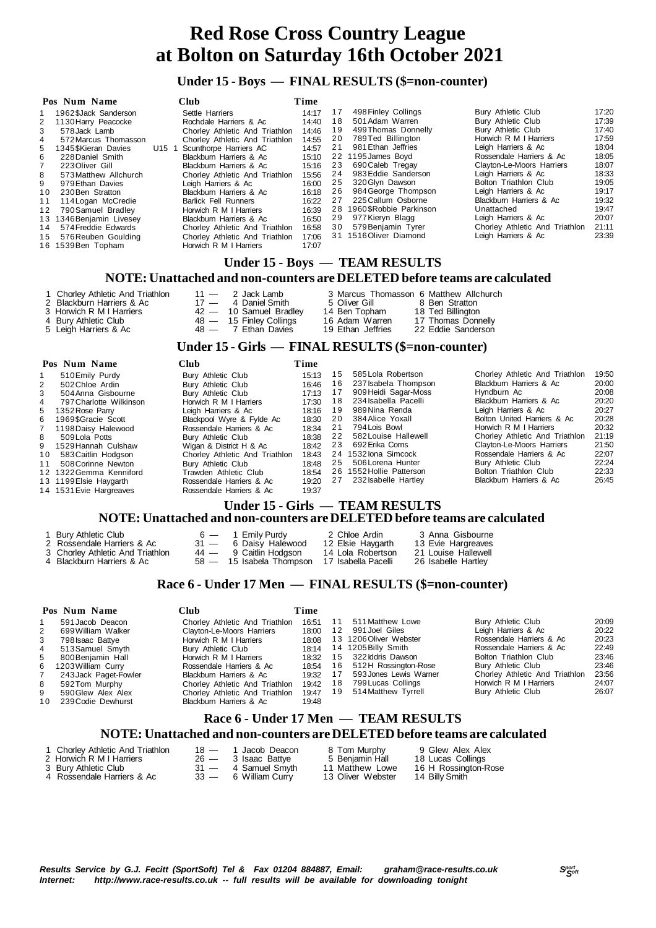#### **Under 15 - Boys — FINAL RESULTS (\$=non-counter)**

|    | Pos Num Name             |                   | Club                           | Time  |    |                        |                                |       |
|----|--------------------------|-------------------|--------------------------------|-------|----|------------------------|--------------------------------|-------|
|    | 1962 \$Jack Sanderson    |                   | Settle Harriers                | 14:17 | 17 | 498 Finley Collings    | Bury Athletic Club             | 17:20 |
| 2  | 1130 Harry Peacocke      |                   | Rochdale Harriers & Ac         | 14:40 | 18 | 501 Adam Warren        | Bury Athletic Club             | 17:39 |
| 3  | 578 Jack Lamb            |                   | Chorley Athletic And Triathlon | 14:46 | 19 | 499 Thomas Donnelly    | Bury Athletic Club             | 17:40 |
|    | 572 Marcus Thomasson     |                   | Chorley Athletic And Triathlon | 14:55 | 20 | 789Ted Billington      | Horwich R M I Harriers         | 17:59 |
| 5  | 1345 SKieran Davies      | U <sub>15</sub> 1 | Scunthorpe Harriers AC         | 14:57 | 21 | 981 Ethan Jeffries     | Leigh Harriers & Ac            | 18:04 |
| 6  | 228 Daniel Smith         |                   | Blackburn Harriers & Ac        | 15:10 |    | 22 1195 James Bovd     | Rossendale Harriers & Ac       | 18:05 |
|    | 223 Oliver Gill          |                   | Blackburn Harriers & Ac        | 15:16 | 23 | 690 Caleb Tregay       | Clayton-Le-Moors Harriers      | 18:07 |
| 8  | 573 Matthew Allchurch    |                   | Chorley Athletic And Triathlon | 15:56 | 24 | 983 Eddie Sanderson    | Leigh Harriers & Ac            | 18:33 |
| 9  | 979 Ethan Davies         |                   | Leigh Harriers & Ac            | 16:00 | 25 | 320 Glvn Dawson        | Bolton Triathlon Club          | 19:05 |
| 10 | 230 Ben Stratton         |                   | Blackburn Harriers & Ac        | 16:18 | 26 | 984 George Thompson    | Leigh Harriers & Ac            | 19:17 |
| 11 | 114 Logan McCredie       |                   | <b>Barlick Fell Runners</b>    | 16:22 | 27 | 225 Callum Osborne     | Blackburn Harriers & Ac        | 19:32 |
| 12 | 790 Samuel Bradlev       |                   | Horwich R M I Harriers         | 16:39 | 28 | 1960\$Robbie Parkinson | Unattached                     | 19:47 |
|    | 13 1346 Benjamin Livesey |                   | Blackburn Harriers & Ac        | 16:50 | 29 | 977 Kieryn Blagg       | Leigh Harriers & Ac            | 20:07 |
| 14 | 574 Freddie Edwards      |                   | Chorley Athletic And Triathlon | 16:58 | 30 | 579 Benjamin Tyrer     | Chorley Athletic And Triathlon | 21:11 |
|    | 15 576 Reuben Goulding   |                   | Chorley Athletic And Triathlon | 17:06 |    | 31 1516 Oliver Diamond | Leigh Harriers & Ac            | 23:39 |
|    | 16 1539 Ben Topham       |                   | Horwich R M I Harriers         | 17:07 |    |                        |                                |       |

#### **Under 15 - Boys — TEAM RESULTS**

#### **NOTE: Unattached and non-counters are DELETED before teams are calculated**

| 1 Chorley Athletic And Triathlon<br>2 Blackburn Harriers & Ac<br>3 Horwich R M I Harriers<br>4 Bury Athletic Club | $11 - 2$ Jack Lamb<br>$17 - 4$ Daniel Smith<br>$42 - 10$ Samuel Bradley<br>$48 - 15$ Finley Collings | 5 Oliver Gill 8 Ben Stratton<br>14 Ben Topham<br>16 Adam Warren | 3 Marcus Thomasson 6 Matthew Allchurch<br>18 Ted Billington<br>17 Thomas Donnelly |
|-------------------------------------------------------------------------------------------------------------------|------------------------------------------------------------------------------------------------------|-----------------------------------------------------------------|-----------------------------------------------------------------------------------|
| 5 Leigh Harriers & Ac                                                                                             | $48 - 7$ Ethan Davies                                                                                | 19 Ethan Jeffries                                               | 22 Eddie Sanderson                                                                |

#### **Under 15 - Girls — FINAL RESULTS (\$=non-counter)**

|                | Pos Num Name            | Club                           | Time  |    |                          |                                |       |
|----------------|-------------------------|--------------------------------|-------|----|--------------------------|--------------------------------|-------|
|                | 510 Emily Purdy         | Bury Athletic Club             | 15:13 | 15 | 585 Lola Robertson       | Chorley Athletic And Triathlon | 19:50 |
| $\overline{2}$ | 502 Chloe Ardin         | Bury Athletic Club             | 16:46 | 16 | 237 Isabela Thompson     | Blackburn Harriers & Ac        | 20:00 |
| 3              | 504 Anna Gisbourne      | Bury Athletic Club             | 17:13 | 17 | 909 Heidi Sagar-Moss     | Hyndburn Ac                    | 20:08 |
| 4              | 797 Charlotte Wilkinson | Horwich R M I Harriers         | 17:30 | 18 | 234 Isabella Pacelli     | Blackburn Harriers & Ac        | 20:20 |
|                | 5 1352 Rose Parry       | Leigh Harriers & Ac            | 18:16 | 19 | 989 Nina Renda           | Leigh Harriers & Ac            | 20:27 |
| 6              | 1969\$Gracie Scott      | Blackpool Wyre & Fylde Ac      | 18:30 | 20 | 384 Alice Yoxall         | Bolton United Harriers & Ac    | 20:28 |
| $\overline{7}$ | 1198 Daisy Halewood     | Rossendale Harriers & Ac       | 18:34 | 21 | 794 Lois Bowl            | Horwich R M I Harriers         | 20:32 |
| 8              | 509 Lola Potts          | Bury Athletic Club             | 18:38 | 22 | 582 Louise Hallewell     | Chorley Athletic And Triathlon | 21:19 |
| 9              | 1529 Hannah Culshaw     | Wigan & District H & Ac        | 18:42 | 23 | 692 Erika Corns          | Clayton-Le-Moors Harriers      | 21:50 |
| 10             | 583 Caitlin Hodgson     | Chorley Athletic And Triathlon | 18:43 |    | 24 1532 lona Simcock     | Rossendale Harriers & Ac       | 22:07 |
| 11             | 508 Corinne Newton      | Bury Athletic Club             | 18:48 | 25 | 506 Lorena Hunter        | Bury Athletic Club             | 22:24 |
|                | 12 1322 Gemma Kenniford | Trawden Athletic Club          | 18:54 |    | 26 1552 Hollie Patterson | Bolton Triathlon Club          | 22:33 |
|                | 13 1199 Elsie Haygarth  | Rossendale Harriers & Ac       | 19:20 | 27 | 232 Isabelle Hartley     | Blackburn Harriers & Ac        | 26:45 |
|                | 14 1531 Evie Hargreaves | Rossendale Harriers & Ac       | 19:37 |    |                          |                                |       |
|                |                         |                                |       |    |                          |                                |       |

#### **Under 15 - Girls — TEAM RESULTS NOTE: Unattached and non-counters are DELETED before teams are calculated**

| Burv Athletic Club               | $6 - 1$ Emily Purdy      | 2 Chloe Ardin       | 3 Anna Gisbourne    |
|----------------------------------|--------------------------|---------------------|---------------------|
| 2 Rossendale Harriers & Ac       | 31 - 6 Daisy Halewood    | 12 Elsie Haygarth   | 13 Evie Hargreaves  |
| 3 Chorley Athletic And Triathlon | 44 — 9 Caitlin Hodgson   | 14 Lola Robertson   | 21 Louise Hallewell |
| 4 Blackburn Harriers & Ac        | 58 — 15 Isabela Thompson | 17 Isabella Pacelli | 26 Isabelle Hartlev |

#### **Race 6 - Under 17 Men — FINAL RESULTS (\$=non-counter)**

|     | Pos Num Name          | Club                           | Time                                                    |    |                         |                                |       |
|-----|-----------------------|--------------------------------|---------------------------------------------------------|----|-------------------------|--------------------------------|-------|
|     | 591 Jacob Deacon      | Chorley Athletic And Triathlon | 16:51                                                   | 11 | 511 Matthew Lowe        | Bury Athletic Club             | 20:09 |
| 2   | 699 William Walker    | Clayton-Le-Moors Harriers      | 18:00                                                   | 12 | 991 Joel Giles          | Leigh Harriers & Ac            | 20:22 |
| 3   | 798 Isaac Battye      | Horwich R M I Harriers         | 18:08                                                   |    | 13 1206 Oliver Webster  | Rossendale Harriers & Ac       | 20:23 |
| 4   | 513 Samuel Smyth      | Bury Athletic Club             | 18:14                                                   |    | 14 1205 Billy Smith     | Rossendale Harriers & Ac       | 22:49 |
| 5.  | 800 Benjamin Hall     | Horwich R M I Harriers         | 18:32                                                   | 15 | 322 Iddris Dawson       | Bolton Triathlon Club          | 23:46 |
| 6.  | 1203 William Curry    | Rossendale Harriers & Ac       | 18:54                                                   | 16 | 512H Rossington-Rose    | Bury Athletic Club             | 23:46 |
|     | 243 Jack Paget-Fowler | Blackburn Harriers & Ac        | 19:32                                                   | 17 | 593 Jones Lewis Warner  | Chorley Athletic And Triathlon | 23.56 |
| 8   | 592Tom Murphy         | Chorley Athletic And Triathlon | 19:42                                                   | 18 | 799 Lucas Collings      | Horwich R M I Harriers         | 24:07 |
| 9   | 590 Glew Alex Alex    | Chorley Athletic And Triathlon | 19:47                                                   | 19 | 514 Matthew Tyrrell     | Bury Athletic Club             | 26.07 |
| 10. | 239 Codie Dewhurst    | Blackburn Harriers & Ac        | 19:48                                                   |    |                         |                                |       |
|     |                       | $\sim$ TT I<br>T.              | $\rightarrow$ $\rightarrow$ $\rightarrow$ $\rightarrow$ |    | <b>THE LAF BEATT BA</b> |                                |       |

#### **Race 6 - Under 17 Men — TEAM RESULTS NOTE: Unattached and non-counters are DELETED before teams are calculated**

| 1 Chorley Athletic And Triathlon |
|----------------------------------|
| 2 Horwich R M I Harriers         |
| 3 Bury Athletic Club             |

 $\frac{3}{4}$  Rossendale Harriers & Ac

- 18 1 Jacob Deacon 8 Tom Murphy<br>
26 3 Isaac Battye 5 Benjamin Hall<br>
31 4 Samuel Smyth 11 Matthew Lowe
- 18 1 Jacob Deacon 8 Tom Murphy 9 Glew Alex Alex<br>
26 3 Isaac Battye 5 Benjamin Hall 18 Lucas Collings

31 — 4 Samuel Smyth 11 Matthew Lowe 16 H Rossington-Rose<br>33 — 6 William Curry 13 Oliver Webster 14 Billy Smith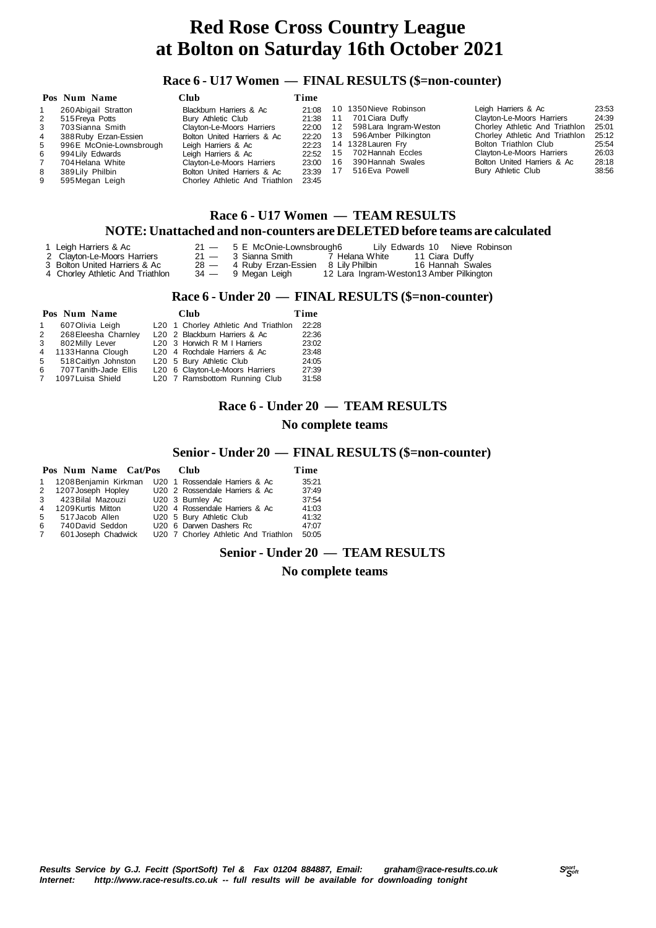#### **Race 6 - U17 Women — FINAL RESULTS (\$=non-counter)**

|   | Pos Num Name            | Club                           | Time  |      |                         |                                |       |
|---|-------------------------|--------------------------------|-------|------|-------------------------|--------------------------------|-------|
|   | 260 Abigail Stratton    | Blackburn Harriers & Ac        | 21:08 |      | 10 1350 Nieve Robinson  | Leigh Harriers & Ac            | 23:53 |
| 2 | 515 Freya Potts         | Bury Athletic Club             | 21:38 | -11  | 701 Ciara Duffy         | Clayton-Le-Moors Harriers      | 24:39 |
| 3 | 703 Sianna Smith        | Clayton-Le-Moors Harriers      | 22:00 | 12   | 598 Lara Ingram-Weston  | Chorley Athletic And Triathlon | 25:01 |
| 4 | 388 Ruby Erzan-Essien   | Bolton United Harriers & Ac    | 22:20 |      | 13 596 Amber Pilkington | Chorley Athletic And Triathlon | 25:12 |
| 5 | 996E McOnie-Lownsbrough | Leigh Harriers & Ac            | 22:23 |      | 14 1328 Lauren Fry      | Bolton Triathlon Club          | 25:54 |
| 6 | 994 Lily Edwards        | Leigh Harriers & Ac            | 22:52 | 15   | 702 Hannah Eccles       | Clayton-Le-Moors Harriers      | 26.03 |
|   | 704 Helana White        | Clayton-Le-Moors Harriers      | 23:00 | 16   | 390 Hannah Swales       | Bolton United Harriers & Ac    | 28:18 |
| 8 | 389 Lily Philbin        | Bolton United Harriers & Ac    | 23:39 | - 17 | 516 Eva Powell          | Bury Athletic Club             | 38:56 |
| 9 | 595 Megan Leigh         | Chorley Athletic And Triathlon | 23:45 |      |                         |                                |       |

#### **Race 6 - U17 Women — TEAM RESULTS**

#### **NOTE: Unattached and non-counters are DELETED before teams are calculated**

- 
- 
- 

1 Leigh Harriers & Ac 21 — 5 E McOnie-Lownsbrough6 Lily Edwards 10 Nieve Robinson<br>
2 Clayton-Le-Moors Harriers 21 — 3 Sianna Smith 7 Helana White 11 Ciara Duffy<br>
3 Bolton United Harriers & Ac 28 — 4 Ruby Erzan-Essien 8 Lil

- 2 Clayton-Le-Moors Harriers 21 3 Sianna Smith 7 Helana White 11 Ciara Duffy 3 Bolton United Harriers & Ac 28 4 Ruby Erzan-Essien 8 Lily Philbin 16 Hannah Swales
	- 34 9 Megan Leigh 12 Lara Ingram-Weston13 Amber Pilkington

#### **Race 6 - Under 20 — FINAL RESULTS (\$=non-counter)**

|                | Pos Num Name          |  | Club                                      | Time  |  |  |
|----------------|-----------------------|--|-------------------------------------------|-------|--|--|
| $\mathbf{1}$   | 607 Olivia Leigh      |  | L20 1 Chorley Athletic And Triathlon      | 22:28 |  |  |
| $2^{\circ}$    | 268 Eleesha Charnley  |  | L <sub>20</sub> 2 Blackburn Harriers & Ac | 22:36 |  |  |
| 3              | 802 Milly Lever       |  | L20 3 Horwich R M I Harriers              | 23:02 |  |  |
| $\overline{4}$ | 1133 Hanna Clough     |  | L <sub>20</sub> 4 Rochdale Harriers & Ac  | 23:48 |  |  |
| 5              | 518 Caitlyn Johnston  |  | L20 5 Bury Athletic Club                  | 24:05 |  |  |
| 6              | 707 Tanith-Jade Ellis |  | L20 6 Clayton-Le-Moors Harriers           | 27:39 |  |  |
| 7              | 1097 Luisa Shield     |  | L20 7 Ramsbottom Running Club             | 31:58 |  |  |

#### **Race 6 - Under 20 — TEAM RESULTS**

#### **No complete teams**

#### **Senior - Under 20 — FINAL RESULTS (\$=non-counter)**

|              | Pos Num Name Cat/Pos  |  | Club                                 | Time  |
|--------------|-----------------------|--|--------------------------------------|-------|
| $\mathbf{1}$ | 1208 Benjamin Kirkman |  | U20 1 Rossendale Harriers & Ac       | 35:21 |
|              | 2 1207 Joseph Hopley  |  | U20 2 Rossendale Harriers & Ac       | 37:49 |
| 3            | 423 Bilal Mazouzi     |  | U20 3 Burnley Ac                     | 37:54 |
| 4            | 1209 Kurtis Mitton    |  | U20 4 Rossendale Harriers & Ac       | 41:03 |
| 5            | 517 Jacob Allen       |  | U20 5 Bury Athletic Club             | 41:32 |
| -6           | 740 David Seddon      |  | U20 6 Darwen Dashers Rc              | 47:07 |
| 7            | 601 Joseph Chadwick   |  | U20 7 Chorley Athletic And Triathlon | 50:05 |

#### **Senior - Under 20 — TEAM RESULTS**

 **No complete teams**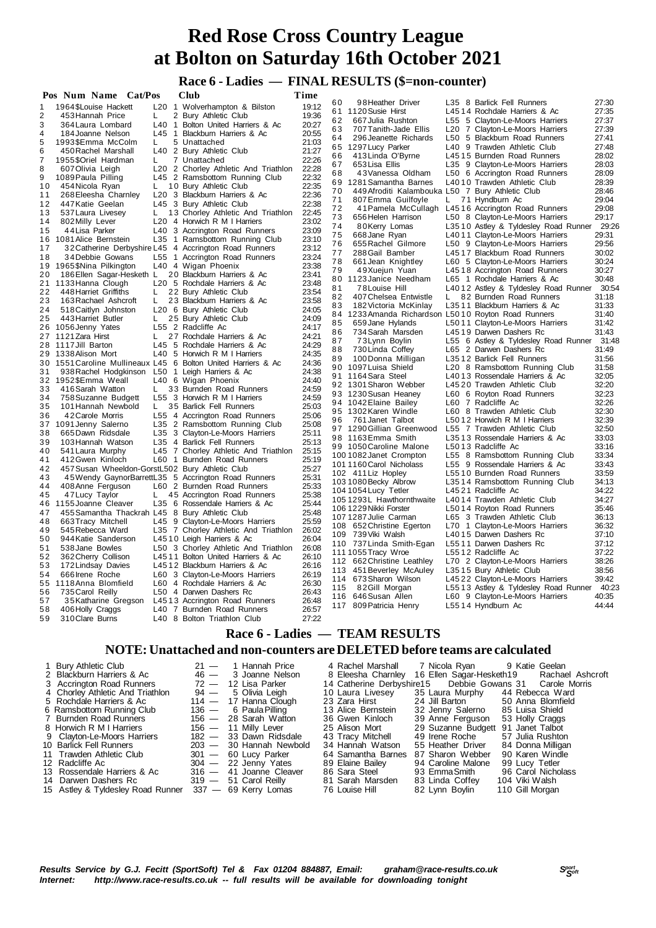#### **Race 6 - Ladies — FINAL RESULTS (\$=non-counter)**

|          | Pos Num Name Cat/Pos                            |                 | Club                                                          | Time           |          |                                                                          |    |                                            |                |
|----------|-------------------------------------------------|-----------------|---------------------------------------------------------------|----------------|----------|--------------------------------------------------------------------------|----|--------------------------------------------|----------------|
| 1        | 1964 \$Louise Hackett                           | L <sub>20</sub> | 1 Wolverhampton & Bilston                                     | 19:12          | 60       | 98Heather Driver                                                         |    | L35 8 Barlick Fell Runners                 | 27:30          |
| 2        | 453 Hannah Price                                | L.              | 2 Bury Athletic Club                                          | 19:36          | 61       | 1120 Susie Hirst                                                         |    | L4514 Rochdale Harriers & Ac               | 27:35          |
| 3        | 364 Laura Lombard                               | L40             | 1 Bolton United Harriers & Ac                                 | 20:27          | 62       | 667 Julia Rushton                                                        |    | L55 5 Clayton-Le-Moors Harriers            | 27:37          |
| 4        | 184 Joanne Nelson                               | L45             | 1 Blackburn Harriers & Ac                                     | 20:55          | 63       | 707 Tanith-Jade Ellis                                                    |    | L20 7 Clayton-Le-Moors Harriers            | 27:39          |
| 5        | 1993\$Emma McColm                               | L.              | 5 Unattached                                                  | 21:03          | 64       | 296 Jeanette Richards                                                    |    | L50 5 Blackburn Road Runners               | 27:41          |
| 6        | 450 Rachel Marshall                             |                 | L40 2 Bury Athletic Club                                      | 21:27          | 65       | 1297 Lucy Parker                                                         |    | L40 9 Trawden Athletic Club                | 27:48          |
| 7        | 1955 \$Oriel Hardman                            | L.              | 7 Unattached                                                  | 22:26          | 66       | 413 Linda O'Byrne                                                        |    | L4515 Burnden Road Runners                 | 28:02          |
| 8        | 607 Olivia Leigh                                |                 | L20 2 Chorley Athletic And Triathlon                          | 22:28          | 67       | 653 Lisa Ellis                                                           |    | L35 9 Clayton-Le-Moors Harriers            | 28:03          |
| 9        | 1089 Paula Pilling                              |                 | L45 2 Ramsbottom Running Club                                 | 22:32          | 68<br>69 | 43 Vanessa Oldham                                                        |    | L50 6 Accrington Road Runners              | 28:09<br>28:39 |
| 10       | 454 Nicola Ryan                                 |                 | L 10 Bury Athletic Club                                       | 22:35          | 70       | 1281 Samantha Barnes<br>449 Afroditi Kalambouka L50 7 Bury Athletic Club |    | L4010 Trawden Athletic Club                | 28:46          |
| 11       | 268 Eleesha Charnley                            |                 | L <sub>20</sub> 3 Blackburn Harriers & Ac                     | 22:36          | 71       | 807 Emma Guilfoyle                                                       | L. | 71 Hyndburn Ac                             | 29:04          |
| 12       | 447 Katie Geelan                                |                 | L45 3 Bury Athletic Club                                      | 22:38          | 72       | 41 Pamela McCullagh                                                      |    | L4516 Accrington Road Runners              | 29:08          |
| 13       | 537 Laura Livesey                               | L.              | 13 Chorley Athletic And Triathlon                             | 22:45          | 73       | 656 Helen Harrison                                                       |    | L50 8 Clayton-Le-Moors Harriers            | 29:17          |
| 14       | 802 Milly Lever                                 |                 | L20 4 Horwich R M I Harriers                                  | 23:02          | 74       | 80Kerry Lomas                                                            |    | L3510 Astley & Tyldesley Road Runner       | 29:26          |
| 15       | 44 Lisa Parker                                  | L40             | 3 Accrington Road Runners                                     | 23:09          | 75       | 668 Jane Ryan                                                            |    | L4011 Clayton-Le-Moors Harriers            | 29:31          |
| 16       | 1081 Alice Bernstein                            | L35             | 1 Ramsbottom Running Club                                     | 23:10          | 76       | 655 Rachel Gilmore                                                       |    | L50 9 Clayton-Le-Moors Harriers            | 29:56          |
| 17       |                                                 |                 | 32 Catherine Derbyshire L45 4 Accrington Road Runners         | 23:12          | 77       | 288 Gail Bamber                                                          |    | L4517 Blackburn Road Runners               | 30:02          |
| 18       | 34 Debbie Gowans                                |                 | L55 1 Accrington Road Runners                                 | 23:24          | 78       | 661 Jean Knightley                                                       |    | L60 5 Clayton-Le-Moors Harriers            | 30:24          |
| 19       | 1965\$Nina Pilkington                           |                 | L40 4 Wigan Phoenix                                           | 23:38          | 79       | 49Xuejun Yuan                                                            |    | L4518 Accrington Road Runners              | 30:27          |
| 20       | 186 Ellen Sagar-Hesketh L                       |                 | 20 Blackburn Harriers & Ac                                    | 23:41          | 80       | 1123 Janice Needham                                                      |    | L65 1 Rochdale Harriers & Ac               | 30:48          |
| 21       | 1133 Hanna Clough                               |                 | L20 5 Rochdale Harriers & Ac                                  | 23:48          | 81       | 78Louise Hill                                                            |    | L4012 Astley & Tyldesley Road Runner 30:54 |                |
| 22       | 448 Harriet Griffiths                           | L.              | 22 Bury Athletic Club                                         | 23:54          | 82       | 407 Chelsea Entwistle                                                    | L. | 82 Burnden Road Runners                    | 31:18          |
| 23       | 163 Rachael Ashcroft                            | L.              | 23 Blackburn Harriers & Ac                                    | 23:58          | 83       | 182 Victoria McKinlay                                                    |    | L3511 Blackburn Harriers & Ac              | 31:33          |
| 24       | 518 Caitlyn Johnston                            |                 | L20 6 Bury Athletic Club                                      | 24:05          | 84       | 1233 Amanda Richardson L5010 Royton Road Runners                         |    |                                            | 31:40          |
| 25       | 443 Harriet Butler                              | L.              | 25 Bury Athletic Club                                         | 24:09          | 85       | 659 Jane Hylands                                                         |    | L5011 Clayton-Le-Moors Harriers            | 31:42          |
| 26       | 1056 Jenny Yates                                |                 | L55 2 Radcliffe Ac                                            | 24:17          | 86       | 734 Sarah Marsden                                                        |    | L4519 Darwen Dashers Rc                    | 31:43          |
|          | 27 1121 Zara Hirst                              | L               | 27 Rochdale Harriers & Ac                                     | 24:21          | 87       | 73Lynn Boylin                                                            |    | L55 6 Astley & Tyldesley Road Runner 31:48 |                |
|          | 28 1117 Jill Barton                             |                 | L45 5 Rochdale Harriers & Ac                                  | 24:29          | 88       | 730 Linda Coffey                                                         |    | L65 2 Darwen Dashers Rc                    | 31:49          |
|          | 29 1338 Alison Mort                             |                 | L40 5 Horwich R M I Harriers                                  | 24:35          | 89       | 100 Donna Milligan                                                       |    | L3512 Barlick Fell Runners                 | 31:56          |
|          |                                                 |                 | 30 1551 Caroline Mullineaux L45 6 Bolton United Harriers & Ac | 24:36          | 90       | 1097 Luisa Shield                                                        |    | L20 8 Ramsbottom Running Club              | 31:58          |
| 31       | 938 Rachel Hodgkinson L50 1 Leigh Harriers & Ac |                 |                                                               | 24:38          | 91       | 1164 Sara Steel                                                          |    | L4013 Rossendale Harriers & Ac             | 32:05          |
| 32<br>33 | 1952\$Emma Weall                                | L.              | L40 6 Wigan Phoenix                                           | 24:40<br>24:59 |          | 92 1301 Sharon Webber                                                    |    | L4520 Trawden Athletic Club                | 32:20          |
| 34       | 416 Sarah Watton                                |                 | 33 Burnden Road Runners<br>L55 3 Horwich R M I Harriers       | 24:59          | 93       | 1230 Susan Heaney                                                        |    | L60 6 Royton Road Runners                  | 32:23          |
| 35       | 758 Suzanne Budgett                             |                 | 35 Barlick Fell Runners                                       | 25:03          |          | 94 1042 Elaine Bailey                                                    |    | L60 7 Radcliffe Ac                         | 32:26          |
| 36       | 101 Hannah Newbold<br>42 Carole Morris          | L.              | L55 4 Accrington Road Runners                                 | 25:06          |          | 95 1302 Karen Windle                                                     |    | L60 8 Trawden Athletic Club                | 32:30          |
| 37       | 1091 Jenny Salerno                              |                 | L35 2 Ramsbottom Running Club                                 | 25:08          | 96       | 761 Janet Talbot                                                         |    | L5012 Horwich R M I Harriers               | 32:39          |
| 38       | 665 Dawn Ridsdale                               | L35             | 3 Clayton-Le-Moors Harriers                                   | 25:11          |          | 97 1290 Gillian Greenwood                                                |    | L55 7 Trawden Athletic Club                | 32:50          |
| 39       | 103 Hannah Watson                               | L35             | 4 Barlick Fell Runners                                        | 25:13          |          | 98 1163 Emma Smith                                                       |    | L3513 Rossendale Harriers & Ac             | 33:03          |
| 40       | 541 Laura Murphy                                | L45             | 7 Chorley Athletic And Triathlon                              | 25:15          |          | 99 1050 Caroline Malone                                                  |    | L5013 Radcliffe Ac                         | 33:16          |
| 41       | 412 Gwen Kinloch                                |                 | L60 1 Burnden Road Runners                                    | 25:19          |          | 100 1082 Janet Crompton                                                  |    | L55 8 Ramsbottom Running Club              | 33:34          |
| 42       | 457 Susan Wheeldon-GorstL502 Bury Athletic Club |                 |                                                               | 25:27          |          | 101 1160 Carol Nicholass                                                 |    | L55 9 Rossendale Harriers & Ac             | 33:43          |
| 43       |                                                 |                 | 45 Wendy Gaynor Barrett L35 5 Accrington Road Runners         | 25:31          |          | 102 411 Liz Hopley                                                       |    | L5510 Burnden Road Runners                 | 33:59          |
| 44       | 408 Anne Ferguson                               |                 | L60 2 Burnden Road Runners                                    | 25:33          |          | 103 1080 Becky Albrow                                                    |    | L3514 Ramsbottom Running Club              | 34:13          |
| 45       | 47 Lucy Taylor                                  | L.              | 45 Accrington Road Runners                                    | 25:38          |          | 104 1054 Lucy Tetler                                                     |    | L4521 Radcliffe Ac                         | 34:22          |
| 46       | 1155 Joanne Cleaver                             |                 | L35 6 Rossendale Harriers & Ac                                | 25:44          |          | 105 1293L Hawthornthwaite                                                |    | L4014 Trawden Athletic Club                | 34:27          |
| 47       | 455 Samantha Thackrah L45 8 Bury Athletic Club  |                 |                                                               | 25:48          |          | 106 1229 Nikki Forster                                                   |    | L5014 Royton Road Runners                  | 35:46          |
| 48       | 663 Tracy Mitchell                              |                 | L45 9 Clayton-Le-Moors Harriers                               | 25:59          |          | 107 1287 Julie Carman                                                    |    | L65 3 Trawden Athletic Club                | 36:13          |
| 49       | 545 Rebecca Ward                                |                 | L35 7 Chorley Athletic And Triathlon                          | 26:02          | 108      | 652 Christine Egerton                                                    |    | L70 1 Clayton-Le-Moors Harriers            | 36:32          |
| 50       | 944 Katie Sanderson                             |                 | L4510 Leigh Harriers & Ac                                     | 26:04          |          | 109 739 Viki Walsh                                                       |    | L4015 Darwen Dashers Rc                    | 37:10          |
| 51       | 538 Jane Bowles                                 |                 | L50 3 Chorley Athletic And Triathlon                          | 26:08          |          | 110 737 Linda Smith-Egan                                                 |    | L5511 Darwen Dashers Rc                    | 37:12          |
| 52       | 362 Cherry Collison                             |                 | L4511 Bolton United Harriers & Ac                             | 26:10          |          | 111 1055 Tracy Wroe                                                      |    | L5512 Radcliffe Ac                         | 37:22          |
| 53       | 172 Lindsay Davies                              |                 | L4512 Blackburn Harriers & Ac                                 | 26:16          |          | 112 662 Christine Leathley                                               |    | L70 2 Clayton-Le-Moors Harriers            | 38:26          |
| 54       | 666 Irene Roche                                 |                 | L60 3 Clayton-Le-Moors Harriers                               | 26:19          |          | 113 451 Beverley McAuley                                                 |    | L3515 Bury Athletic Club                   | 38:56          |
| 55       | 1118 Anna Blomfield                             |                 | L60 4 Rochdale Harriers & Ac                                  | 26:30          |          | 114 673 Sharon Wilson                                                    |    | L4522 Clayton-Le-Moors Harriers            | 39:42          |
| 56       | 735 Carol Reilly                                |                 | L50 4 Darwen Dashers Rc                                       | 26:43          | 115      | 82Gill Morgan                                                            |    | L5513 Astley & Tyldesley Road Runner       | 40:23<br>40:35 |
| 57       | 35 Katharine Gregson                            |                 | L4513 Accrington Road Runners                                 | 26:48          |          | 116 646 Susan Allen                                                      |    | L60 9 Clayton-Le-Moors Harriers            | 44:44          |
| 58       | 406 Holly Craggs                                |                 | L40 7 Burnden Road Runners                                    | 26:57          |          | 117 809 Patricia Henry                                                   |    | L5514 Hyndburn Ac                          |                |
| 59       | 310 Clare Burns                                 |                 | L40 8 Bolton Triathlon Club                                   | 27:22          |          |                                                                          |    |                                            |                |

 **Race 6 - Ladies — TEAM RESULTS**

#### **NOTE: Unattached and non-counters are DELETED before teams are calculated**

| 1 Bury Athletic Club                                   | $21 -$ | 1 Hannah Price          | 4 Rachel Marshall                           | 7 Nicola Ryan                      | 9 Katie Geelan     |
|--------------------------------------------------------|--------|-------------------------|---------------------------------------------|------------------------------------|--------------------|
| 2 Blackburn Harriers & Ac                              |        | 46 - 3 Joanne Nelson    | 8 Eleesha Charnley 16 Ellen Sagar-Hesketh19 |                                    | Rachael Ashcroft   |
| 3 Accrington Road Runners                              | $72 -$ | 12 Lisa Parker          | 14 Catherine Derbyshire15                   | Debbie Gowans 31                   | Carole Morris      |
| 4 Chorley Athletic And Triathlon                       | $94 -$ | 5 Olivia Leigh          | 10 Laura Livesey                            | 35 Laura Murphy                    | 44 Rebecca Ward    |
| 5 Rochdale Harriers & Ac                               |        | $114 - 17$ Hanna Clough | 23 Zara Hirst                               | 24 Jill Barton                     | 50 Anna Blomfield  |
| 6 Ramsbottom Running Club                              |        | 136 — 6 Paula Pilling   | 13 Alice Bernstein                          | 32 Jenny Salerno                   | 85 Luisa Shield    |
| 7 Burnden Road Runners                                 |        | 156 - 28 Sarah Watton   | 36 Gwen Kinloch                             | 39 Anne Ferguson                   | 53 Holly Craggs    |
| 8 Horwich R M I Harriers                               |        | $156 - 11$ Milly Lever  | 25 Alison Mort                              | 29 Suzanne Budgett 91 Janet Talbot |                    |
| 9 Clayton-Le-Moors Harriers                            |        | 182 - 33 Dawn Ridsdale  | 43 Tracy Mitchell                           | 49 Irene Roche                     | 57 Julia Rushton   |
| 10 Barlick Fell Runners                                |        | 203 — 30 Hannah Newbold | 34 Hannah Watson                            | 55 Heather Driver                  | 84 Donna Milligan  |
| 11 Trawden Athletic Club                               |        | 301 - 60 Lucy Parker    | 64 Samantha Barnes                          | 87 Sharon Webber                   | 90 Karen Windle    |
| 12 Radcliffe Ac                                        |        | $304 - 22$ Jenny Yates  | 89 Elaine Bailey                            | 94 Caroline Malone                 | 99 Lucy Tetler     |
| 13 Rossendale Harriers & Ac                            |        | 316 - 41 Joanne Cleaver | 86 Sara Steel                               | 93 EmmaSmith                       | 96 Carol Nicholass |
| 14 Darwen Dashers Rc                                   |        | $319 - 51$ Carol Reilly | 81 Sarah Marsden                            | 83 Linda Coffey                    | 104 Viki Walsh     |
| 15 Astley & Tyldesley Road Runner 337 - 69 Kerry Lomas |        |                         | 76 Louise Hill                              | 82 Lynn Boylin                     | 110 Gill Morgan    |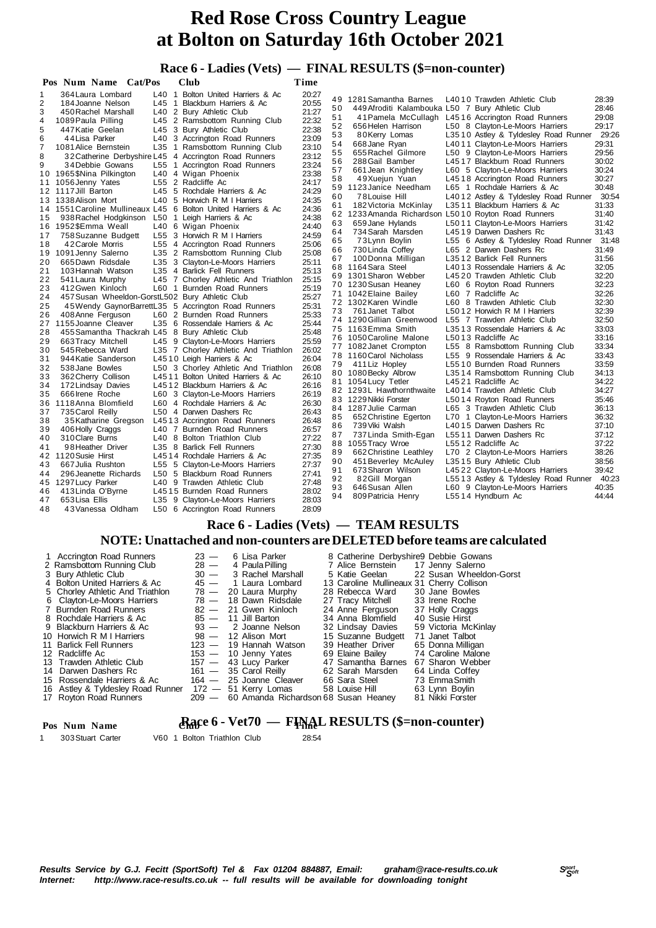## **Race 6 - Ladies (Vets) — FINAL RESULTS (\$=non-counter)**

|                | Pos Num Name Cat/Pos                            |                       | Club                                                        | Time  |    |                                                  |                                                   |       |
|----------------|-------------------------------------------------|-----------------------|-------------------------------------------------------------|-------|----|--------------------------------------------------|---------------------------------------------------|-------|
| 1              | 364 Laura Lombard                               |                       | L40 1 Bolton United Harriers & Ac                           | 20:27 |    |                                                  |                                                   |       |
| $\overline{2}$ | 184 Joanne Nelson                               | L45<br>$\overline{1}$ | Blackburn Harriers & Ac                                     | 20:55 | 49 | 1281 Samantha Barnes                             | L4010 Trawden Athletic Club                       | 28:39 |
| 3              | 450 Rachel Marshall                             | L40                   | 2 Bury Athletic Club                                        | 21:27 | 50 | 449 Afroditi Kalambouka L50 7 Bury Athletic Club |                                                   | 28:46 |
| 4              | 1089 Paula Pilling                              |                       | L45 2 Ramsbottom Running Club                               | 22:32 | 51 |                                                  | 41 Pamela McCullagh L4516 Accrington Road Runners | 29:08 |
| 5              | 447 Katie Geelan                                |                       | L45 3 Bury Athletic Club                                    | 22:38 | 52 | 656 Helen Harrison                               | L50 8 Clayton-Le-Moors Harriers                   | 29:17 |
| 6              | 44 Lisa Parker                                  |                       | L40 3 Accrington Road Runners                               | 23:09 | 53 | 80Kerry Lomas                                    | L3510 Astley & Tyldesley Road Runner 29:26        |       |
| 7              | 1081 Alice Bernstein                            | L35                   | 1 Ramsbottom Running Club                                   | 23:10 | 54 | 668 Jane Ryan                                    | L4011 Clayton-Le-Moors Harriers                   | 29:31 |
| 8              |                                                 |                       | 32 Catherine Derbyshire L45 4 Accrington Road Runners       | 23:12 | 55 | 655 Rachel Gilmore                               | L50 9 Clayton-Le-Moors Harriers                   | 29:56 |
| 9              | 34 Debbie Gowans                                | L55                   | 1 Accrington Road Runners                                   | 23:24 | 56 | 288 Gail Bamber                                  | L4517 Blackburn Road Runners                      | 30:02 |
|                | 10 1965 \$Nina Pilkington                       |                       | L40 4 Wigan Phoenix                                         | 23:38 | 57 | 661 Jean Knightley                               | L60 5 Clayton-Le-Moors Harriers                   | 30:24 |
|                | 11 1056 Jenny Yates                             |                       | L55 2 Radcliffe Ac                                          | 24:17 | 58 | 49Xuejun Yuan                                    | L4518 Accrington Road Runners                     | 30:27 |
|                | 12 1117 Jill Barton                             | L45                   | 5 Rochdale Harriers & Ac                                    | 24:29 | 59 | 1123 Janice Needham                              | L65 1 Rochdale Harriers & Ac                      | 30:48 |
|                | 13 1338 Alison Mort                             | L40                   | 5 Horwich R M I Harriers                                    | 24:35 | 60 | 78 Louise Hill                                   | L4012 Astley & Tyldesley Road Runner              | 30:54 |
|                | 14 1551 Caroline Mullineaux L45                 |                       | 6 Bolton United Harriers & Ac                               | 24:36 | 61 | 182 Victoria McKinlay                            | L3511 Blackburn Harriers & Ac                     | 31:33 |
| 15             | 938 Rachel Hodgkinson                           | L50                   | 1 Leigh Harriers & Ac                                       | 24:38 | 62 | 1233 Amanda Richardson L5010 Royton Road Runners |                                                   | 31:40 |
|                | 16 1952 \$Emma Weall                            |                       | L40 6 Wigan Phoenix                                         | 24:40 | 63 | 659 Jane Hylands                                 | L5011 Clayton-Le-Moors Harriers                   | 31:42 |
| 17             | 758 Suzanne Budgett                             |                       | L55 3 Horwich R M I Harriers                                | 24:59 | 64 | 734 Sarah Marsden                                | L4519 Darwen Dashers Rc                           | 31:43 |
| 18             | 42 Carole Morris                                |                       | L55 4 Accrington Road Runners                               | 25:06 | 65 | 73 Lynn Boylin                                   | L55 6 Astley & Tyldesley Road Runner              | 31:48 |
| 19             | 1091 Jenny Salerno                              |                       | L35 2 Ramsbottom Running Club                               | 25:08 | 66 | 730 Linda Coffey                                 | L65 2 Darwen Dashers Rc                           | 31:49 |
| 20             | 665 Dawn Ridsdale                               |                       | L35 3 Clayton-Le-Moors Harriers                             | 25:11 | 67 | 100 Donna Milligan                               | L3512 Barlick Fell Runners                        | 31:56 |
| 21             | 103 Hannah Watson                               | L35                   | 4 Barlick Fell Runners                                      | 25:13 | 68 | 1164 Sara Steel                                  | L4013 Rossendale Harriers & Ac                    | 32:05 |
| 22             | 541 Laura Murphy                                |                       | L45 7 Chorley Athletic And Triathlon                        | 25:15 |    | 69 1301 Sharon Webber                            | L4520 Trawden Athletic Club                       | 32:20 |
| 23             | 412 Gwen Kinloch                                |                       | L60 1 Burnden Road Runners                                  | 25:19 |    | 70 1230 Susan Heaney                             | L60 6 Royton Road Runners                         | 32:23 |
| 24             | 457 Susan Wheeldon-GorstL502 Bury Athletic Club |                       |                                                             | 25:27 |    | 71 1042 Elaine Bailey                            | L60 7 Radcliffe Ac                                | 32:26 |
| 25             |                                                 |                       | 45 Wendy Gaynor Barrett L35 5 Accrington Road Runners       | 25:31 |    | 72 1302 Karen Windle                             | L60 8 Trawden Athletic Club                       | 32:30 |
| 26             | 408 Anne Ferguson                               |                       | L60 2 Burnden Road Runners                                  | 25:33 | 73 | 761 Janet Talbot                                 | L5012 Horwich R M I Harriers                      | 32:39 |
|                | 27 1155 Joanne Cleaver                          |                       | L35 6 Rossendale Harriers & Ac                              | 25:44 |    | 74 1290 Gillian Greenwood                        | L55 7 Trawden Athletic Club                       | 32:50 |
| 28             | 455 Samantha Thackrah L45 8 Bury Athletic Club  |                       |                                                             | 25:48 |    | 75 1163 Emma Smith                               | L3513 Rossendale Harriers & Ac                    | 33:03 |
| 29             | 663 Tracy Mitchell                              |                       | L45 9 Clayton-Le-Moors Harriers                             | 25:59 |    | 76 1050 Caroline Malone                          | L5013 Radcliffe Ac                                | 33:16 |
| 30             | 545 Rebecca Ward                                |                       | L35 7 Chorley Athletic And Triathlon                        | 26:02 |    | 77 1082 Janet Crompton                           | L55 8 Ramsbottom Running Club                     | 33:34 |
| 31             | 944 Katie Sanderson                             |                       | L4510 Leigh Harriers & Ac                                   | 26:04 |    | 78 1160 Carol Nicholass                          | L55 9 Rossendale Harriers & Ac                    | 33:43 |
| 32             | 538 Jane Bowles                                 |                       | L50 3 Chorley Athletic And Triathlon                        | 26:08 | 79 | 411 Liz Hopley                                   | L5510 Burnden Road Runners                        | 33:59 |
| 33             | 362 Cherry Collison                             |                       | L4511 Bolton United Harriers & Ac                           | 26:10 |    | 80 1080 Becky Albrow                             | L3514 Ramsbottom Running Club                     | 34:13 |
| 34             | 172 Lindsay Davies                              |                       | L4512 Blackburn Harriers & Ac                               | 26:16 |    | 81 1054 Lucy Tetler                              | L4521 Radcliffe Ac                                | 34:22 |
| 35             | 666 Irene Roche                                 |                       | L60 3 Clayton-Le-Moors Harriers                             | 26:19 |    | 82 1293L Hawthornthwaite                         | L4014 Trawden Athletic Club                       | 34:27 |
| 36             | 1118 Anna Blomfield                             |                       | L60 4 Rochdale Harriers & Ac                                | 26:30 |    | 83 1229 Nikki Forster                            | L5014 Royton Road Runners                         | 35:46 |
| 37             | 735 Carol Reilly                                |                       | L50 4 Darwen Dashers Rc                                     | 26:43 | 84 | 1287 Julie Carman                                | L65 3 Trawden Athletic Club                       | 36:13 |
| 38             | 35 Katharine Gregson                            |                       | L4513 Accrington Road Runners                               | 26:48 | 85 | 652 Christine Egerton                            | L70 1 Clayton-Le-Moors Harriers                   | 36:32 |
| 39             | 406 Holly Craggs                                |                       | L40 7 Burnden Road Runners                                  | 26:57 | 86 | 739 Viki Walsh                                   | L4015 Darwen Dashers Rc                           | 37:10 |
| 40             | 310 Clare Burns                                 |                       | L40 8 Bolton Triathlon Club                                 | 27:22 | 87 | 737 Linda Smith-Egan                             | L5511 Darwen Dashers Rc                           | 37:12 |
| 41             | 98 Heather Driver                               | L35                   | 8 Barlick Fell Runners                                      | 27:30 | 88 | 1055 Tracy Wroe                                  | L5512 Radcliffe Ac                                | 37:22 |
|                | 42 1120 Susie Hirst                             |                       | L4514 Rochdale Harriers & Ac                                | 27:35 | 89 | 662 Christine Leathley                           | L70 2 Clayton-Le-Moors Harriers                   | 38:26 |
| 43             | 667 Julia Rushton                               |                       | L55 5 Clayton-Le-Moors Harriers                             | 27:37 | 90 | 451 Beverley McAuley                             | L3515 Bury Athletic Club                          | 38:56 |
|                |                                                 |                       |                                                             | 27:41 | 91 | 673 Sharon Wilson                                | L4522 Clayton-Le-Moors Harriers                   | 39:42 |
| 44<br>45       | 296 Jeanette Richards                           |                       | L50 5 Blackburn Road Runners<br>L40 9 Trawden Athletic Club | 27:48 | 92 | 82Gill Morgan                                    | L5513 Astley & Tyldesley Road Runner              | 40:23 |
|                | 1297 Lucy Parker                                |                       | L4515 Burnden Road Runners                                  | 28:02 | 93 | 646 Susan Allen                                  | L60 9 Clayton-Le-Moors Harriers                   | 40:35 |
| 46             | 413 Linda O'Byrne<br>653 Lisa Ellis             |                       |                                                             | 28:03 | 94 | 809 Patricia Henry                               | L5514 Hyndburn Ac                                 | 44:44 |
| 47<br>48       | 43 Vanessa Oldham                               | L35                   | 9 Clayton-Le-Moors Harriers                                 | 28:09 |    |                                                  |                                                   |       |
|                |                                                 |                       | L50 6 Accrington Road Runners                               |       |    |                                                  |                                                   |       |

#### **Race 6 - Ladies (Vets) — TEAM RESULTS**

#### **NOTE: Unattached and non-counters are DELETED before teams are calculated**

| Pos Num Name      |                             | <b>Race 6 - Vet70 — FINAL RESULTS (\$=non-counter)</b> |
|-------------------|-----------------------------|--------------------------------------------------------|
| 303 Stuart Carter | V60 1 Bolton Triathlon Club | 28:54                                                  |

*<sup>S</sup>port Results Service by G.J. Fecitt (SportSoft) Tel & Fax 01204 884887, Email: graham@race-results.co.uk <sup>S</sup>oft* http://www.race-results.co.uk -- full results will be available for downloading tonight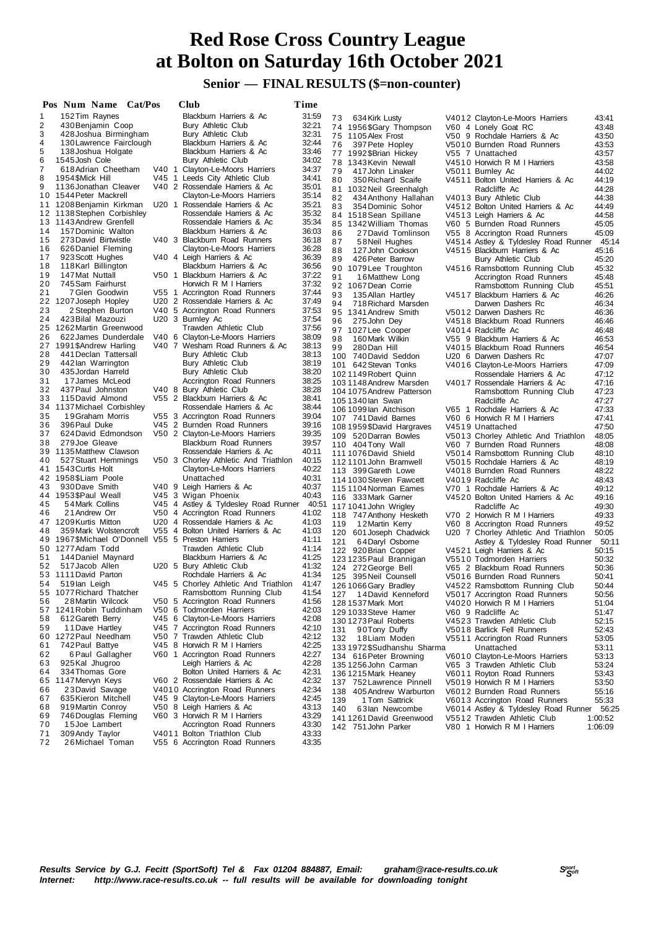#### **Senior — FINAL RESULTS (\$=non-counter)**

|    | Pos Num Name Cat/Pos                           |  | Club                                 | Time  |     |                            |                                            |         |
|----|------------------------------------------------|--|--------------------------------------|-------|-----|----------------------------|--------------------------------------------|---------|
| 1  | 152 Tim Raynes                                 |  | Blackburn Harriers & Ac              | 31:59 | 73  | 634 Kirk Lusty             | V4012 Clayton-Le-Moors Harriers            | 43:41   |
| 2  | 430 Benjamin Coop                              |  | Bury Athletic Club                   | 32:21 |     | 74 1956 \$Gary Thompson    | V60 4 Lonely Goat RC                       | 43:48   |
| 3  | 428 Joshua Birmingham                          |  | Bury Athletic Club                   | 32:31 |     | 75 1105 Alex Frost         | V50 9 Rochdale Harriers & Ac               | 43:50   |
| 4  | 130 Lawrence Fairclough                        |  | Blackburn Harriers & Ac              | 32:44 | 76  |                            | V5010 Burnden Road Runners                 | 43.53   |
| 5  | 138 Joshua Holgate                             |  | Blackburn Harriers & Ac              | 33:46 |     | 397 Pete Hopley            |                                            |         |
| 6  | 1545 Josh Cole                                 |  | Bury Athletic Club                   | 34:02 |     | 77 1992 \$Brian Hickey     | V55 7 Unattached                           | 43:57   |
| 7  | 618 Adrian Cheetham                            |  | V40 1 Clayton-Le-Moors Harriers      | 34:37 | 78  | 1343 Kevin Newall          | V4510 Horwich R M I Harriers               | 43.58   |
|    |                                                |  | V45 1 Leeds City Athletic Club       |       | 79  | 417 John Linaker           | V5011 Burnley Ac                           | 44.02   |
| 8  | 1954\$Mick Hill                                |  |                                      | 34:41 | 80  | 350 Richard Scaife         | V4511 Bolton United Harriers & Ac          | 44:19   |
| 9  | 1136 Jonathan Cleaver                          |  | V40 2 Rossendale Harriers & Ac       | 35:01 | 81  | 1032 Neil Greenhalgh       | Radcliffe Ac                               | 44:28   |
|    | 10 1544 Peter Mackrell                         |  | Clayton-Le-Moors Harriers            | 35:14 | 82  | 434 Anthony Hallahan       | V4013 Bury Athletic Club                   | 44:38   |
| 11 | 1208 Benjamin Kirkman                          |  | U20 1 Rossendale Harriers & Ac       | 35:21 | 83  | 354 Dominic Sohor          | V4512 Bolton United Harriers & Ac          | 44:49   |
|    | 12 1138 Stephen Corbishley                     |  | Rossendale Harriers & Ac             | 35:32 |     | 84 1518 Sean Spillane      | V4513 Leigh Harriers & Ac                  | 44.58   |
|    | 13 1143 Andrew Grenfell                        |  | Rossendale Harriers & Ac             | 35:34 | 85  | 1342 William Thomas        | V60 5 Burnden Road Runners                 | 45:05   |
| 14 | 157 Dominic Walton                             |  | Blackburn Harriers & Ac              | 36:03 | 86  | 27David Tomlinson          | V55 8 Accrington Road Runners              | 45:09   |
| 15 | 273 David Birtwistle                           |  | V40 3 Blackburn Road Runners         | 36:18 | 87  | 58 Neil Hughes             | V4514 Astley & Tyldesley Road Runner 45:14 |         |
| 16 | 626 Daniel Fleming                             |  | Clayton-Le-Moors Harriers            | 36:28 | 88  | 127 John Cookson           | V4515 Blackburn Harriers & Ac              | 45:16   |
| 17 | 923 Scott Hughes                               |  | V40 4 Leigh Harriers & Ac            | 36:39 | 89  | 426 Peter Barrow           | Bury Athletic Club                         | 45:20   |
| 18 | 118 Karl Billington                            |  | Blackburn Harriers & Ac              | 36:56 |     | 90 1079Lee Troughton       | V4516 Ramsbottom Running Club              | 45:32   |
| 19 | 147 Mat Nuttall                                |  | V50 1 Blackburn Harriers & Ac        | 37:22 | 91  |                            |                                            |         |
| 20 | 745 Sam Fairhurst                              |  | Horwich R M I Harriers               | 37:32 |     | 16Matthew Long             | Accrington Road Runners                    | 45:48   |
| 21 | 7 Glen Goodwin                                 |  | V55 1 Accrington Road Runners        | 37:44 |     | 92 1067 Dean Corrie        | Ramsbottom Running Club                    | 45:51   |
| 22 | 1207 Joseph Hopley                             |  | U20 2 Rossendale Harriers & Ac       | 37:49 | 93  | 135 Allan Hartley          | V4517 Blackburn Harriers & Ac              | 46:26   |
|    |                                                |  |                                      |       | 94  | 718 Richard Marsden        | Darwen Dashers Rc                          | 46:34   |
| 23 | 2 Stephen Burton                               |  | V40 5 Accrington Road Runners        | 37:53 | 95  | 1341 Andrew Smith          | V5012 Darwen Dashers Rc                    | 46:36   |
| 24 | 423 Bilal Mazouzi                              |  | U20 3 Burnley Ac                     | 37:54 | 96  | 275 John Dey               | V4518 Blackburn Road Runners               | 46:46   |
|    | 25 1262 Martin Greenwood                       |  | Trawden Athletic Club                | 37:56 |     | 97 1027 Lee Cooper         | V4014 Radcliffe Ac                         | 46:48   |
| 26 | 622 James Dunderdale                           |  | V40 6 Clayton-Le-Moors Harriers      | 38:09 | 98  | 160 Mark Wilkin            | V55 9 Blackburn Harriers & Ac              | 46:53   |
| 27 | 1991 \$Andrew Harling                          |  | V40 7 Wesham Road Runners & Ac       | 38:13 | 99  | 280 Dan Hill               | V4015 Blackburn Road Runners               | 46.54   |
| 28 | 441 Declan Tattersall                          |  | Bury Athletic Club                   | 38:13 |     | 100 740 David Seddon       | U20 6 Darwen Dashers Rc                    | 47.07   |
| 29 | 442 lan Warrington                             |  | Bury Athletic Club                   | 38:19 |     | 101 642 Stevan Tonks       | V4016 Clayton-Le-Moors Harriers            | 47:09   |
| 30 | 435 Jordan Harreld                             |  | Bury Athletic Club                   | 38:20 |     | 102 1149 Robert Quinn      | Rossendale Harriers & Ac                   | 47:12   |
| 31 | 17 James McLeod                                |  | Accrington Road Runners              | 38:25 |     | 1031148 Andrew Marsden     | V4017 Rossendale Harriers & Ac             | 47:16   |
| 32 | 437 Paul Johnston                              |  | V40 8 Bury Athletic Club             | 38:28 |     | 104 1075 Andrew Patterson  |                                            | 47:23   |
| 33 | 115 David Almond                               |  | V55 2 Blackburn Harriers & Ac        | 38:41 |     |                            | Ramsbottom Running Club                    |         |
| 34 | 1137 Michael Corbishley                        |  | Rossendale Harriers & Ac             | 38:44 |     | 105 1340 lan Swan          | Radcliffe Ac                               | 47:27   |
| 35 | 19 Graham Morris                               |  | V55 3 Accrington Road Runners        | 39:04 |     | 106 1099 lan Aitchison     | V65 1 Rochdale Harriers & Ac               | 47:33   |
| 36 | 396 Paul Duke                                  |  |                                      | 39:16 |     | 107 741 David Barnes       | V60 6 Horwich R M I Harriers               | 47:41   |
|    |                                                |  | V45 2 Burnden Road Runners           |       |     | 108 1959 \$David Hargraves | V4519 Unattached                           | 47:50   |
| 37 | 624 David Edmondson                            |  | V50 2 Clayton-Le-Moors Harriers      | 39:35 |     | 109 520 Darran Bowles      | V5013 Chorley Athletic And Triathlon       | 48:05   |
| 38 | 279 Joe Gleave                                 |  | Blackburn Road Runners               | 39:57 |     | 110 404 Tony Wall          | V60 7 Burnden Road Runners                 | 48:08   |
|    | 39 1135 Matthew Clawson                        |  | Rossendale Harriers & Ac             | 40:11 |     | 111 1076 David Shield      | V5014 Ramsbottom Running Club              | 48:10   |
| 40 | 527 Stuart Hemmings                            |  | V50 3 Chorley Athletic And Triathlon | 40:15 |     | 112 1101 John Bramwell     | V5015 Rochdale Harriers & Ac               | 48:19   |
|    | 41 1543 Curtis Holt                            |  | Clayton-Le-Moors Harriers            | 40:22 |     | 113 399 Gareth Lowe        | V4018 Burnden Road Runners                 | 48:22   |
|    | 42 1958 \$Liam Poole                           |  | Unattached                           | 40:31 |     | 114 1030 Steven Fawcett    | V4019 Radcliffe Ac                         | 48:43   |
| 43 | 930 Dave Smith                                 |  | V40 9 Leigh Harriers & Ac            | 40:37 |     | 115 1104 Norman Eames      | V70 1 Rochdale Harriers & Ac               | 49:12   |
|    | 44 1953 \$Paul Weall                           |  | V45 3 Wigan Phoenix                  | 40:43 |     | 116 333 Mark Garner        | V4520 Bolton United Harriers & Ac          | 49:16   |
| 45 | 54 Mark Collins                                |  | V45 4 Astley & Tyldesley Road Runner | 40:51 |     | 117 1041 John Wrigley      | Radcliffe Ac                               | 49:30   |
| 46 | 21 Andrew Orr                                  |  | V50 4 Accrington Road Runners        | 41:02 |     |                            |                                            |         |
|    | 47 1209 Kurtis Mitton                          |  | U20 4 Rossendale Harriers & Ac       | 41:03 |     | 118 747 Anthony Hesketh    | V70 2 Horwich R M I Harriers               | 49:33   |
| 48 | 359 Mark Wolstencroft                          |  | V55 4 Bolton United Harriers & Ac    | 41:03 | 119 | 12Martin Kerry             | V60 8 Accrington Road Runners              | 49:52   |
| 49 | 1967 SMichael O'Donnell V55 5 Preston Harriers |  |                                      | 41:11 |     | 120 601 Joseph Chadwick    | U20 7 Chorley Athletic And Triathlon       | 50:05   |
|    |                                                |  |                                      |       | 121 | 64Daryl Osborne            | Astley & Tyldesley Road Runner 50:11       |         |
|    | 50 1277 Adam Todd                              |  | Trawden Athletic Club                | 41:14 |     | 122 920 Brian Copper       | V4521 Leigh Harriers & Ac                  | 50:15   |
| 51 | 144 Daniel Maynard                             |  | Blackburn Harriers & Ac              | 41:25 |     | 123 1235 Paul Brannigan    | V5510 Todmorden Harriers                   | 50:32   |
| 52 | 517 Jacob Allen                                |  | U20 5 Bury Athletic Club             | 41:32 |     | 124 272 George Bell        | V65 2 Blackburn Road Runners               | 50:36   |
|    | 53 1111 David Parton                           |  | Rochdale Harriers & Ac               | 41:34 |     | 125 395 Neil Counsell      | V5016 Burnden Road Runners                 | 50:41   |
| 54 | 519 lan Leigh                                  |  | V45 5 Chorley Athletic And Triathlon | 41:47 |     | 126 1066 Gary Bradley      | V4522 Ramsbottom Running Club              | 50:44   |
|    | 55 1077 Richard Thatcher                       |  | Ramsbottom Running Club              | 41:54 |     | 127 14 David Kenneford     | V5017 Accrington Road Runners              | 50:56   |
| 56 | 28 Martin Wilcock                              |  | V50 5 Accrington Road Runners        | 41:56 |     | 128 1537 Mark Mort         | V4020 Horwich R M I Harriers               | 51:04   |
| 57 | 1241 Robin Tuddinham                           |  | V50 6 Todmorden Harriers             | 42:03 |     | 129 1033 Steve Hamer       | V60 9 Radcliffe Ac                         | 51:47   |
| 58 | 612 Gareth Berry                               |  | V45 6 Clayton-Le-Moors Harriers      | 42:08 |     | 130 1273 Paul Roberts      | V4523 Trawden Athletic Club                | 52:15   |
| 59 | 11 Dave Hartley                                |  | V45 7 Accrington Road Runners        | 42:10 |     |                            |                                            | 52:43   |
| 60 | 1272 Paul Needham                              |  | V50 7 Trawden Athletic Club          | 42:12 | 131 | 90Tony Duffy               | V5018 Barlick Fell Runners                 |         |
| 61 | 742 Paul Battye                                |  | V45 8 Horwich R M I Harriers         | 42:25 | 132 | 18Liam Moden               | V5511 Accrington Road Runners              | 53:05   |
|    |                                                |  |                                      |       |     | 1331972\$Sudhanshu Sharma  | Unattached                                 | 53:11   |
| 62 | 6 Paul Gallagher                               |  | V60 1 Accrington Road Runners        | 42:27 |     | 134 616 Peter Browning     | V6010 Clayton-Le-Moors Harriers            | 53:13   |
| 63 | 925 Kal Jhugroo                                |  | Leigh Harriers & Ac                  | 42:28 |     | 135 1256 John Carman       | V65 3 Trawden Athletic Club                | 53:24   |
| 64 | 334 Thomas Gore                                |  | Bolton United Harriers & Ac          | 42:31 |     | 136 1215 Mark Heaney       | V6011 Royton Road Runners                  | 53:43   |
| 65 | 1147 Mervyn Keys                               |  | V60 2 Rossendale Harriers & Ac       | 42:32 |     | 137 752 Lawrence Pinnell   | V5019 Horwich R M I Harriers               | 53:50   |
| 66 | 23 David Savage                                |  | V4010 Accrington Road Runners        | 42:34 |     | 138 405 Andrew Warburton   | V6012 Burnden Road Runners                 | 55:16   |
| 67 | 635 Kieron Mitchell                            |  | V45 9 Clayton-Le-Moors Harriers      | 42:45 | 139 | 1 Tom Sattrick             | V6013 Accrington Road Runners              | 55:33   |
| 68 | 919 Martin Conroy                              |  | V50 8 Leigh Harriers & Ac            | 43:13 | 140 | 63Ian Newcombe             | V6014 Astley & Tyldesley Road Runner 56:25 |         |
| 69 | 746 Douglas Fleming                            |  | V60 3 Horwich R M I Harriers         | 43:29 |     | 141 1261 David Greenwood   | V5512 Trawden Athletic Club                | 1:00:52 |
| 70 | 15 Joe Lambert                                 |  | Accrington Road Runners              | 43:30 |     | 142 751 John Parker        | V80 1 Horwich R M I Harriers               | 1:06:09 |
| 71 | 309 Andy Taylor                                |  | V4011 Bolton Triathlon Club          | 43:33 |     |                            |                                            |         |
| 72 | 26 Michael Toman                               |  | V55 6 Accrington Road Runners        | 43:35 |     |                            |                                            |         |